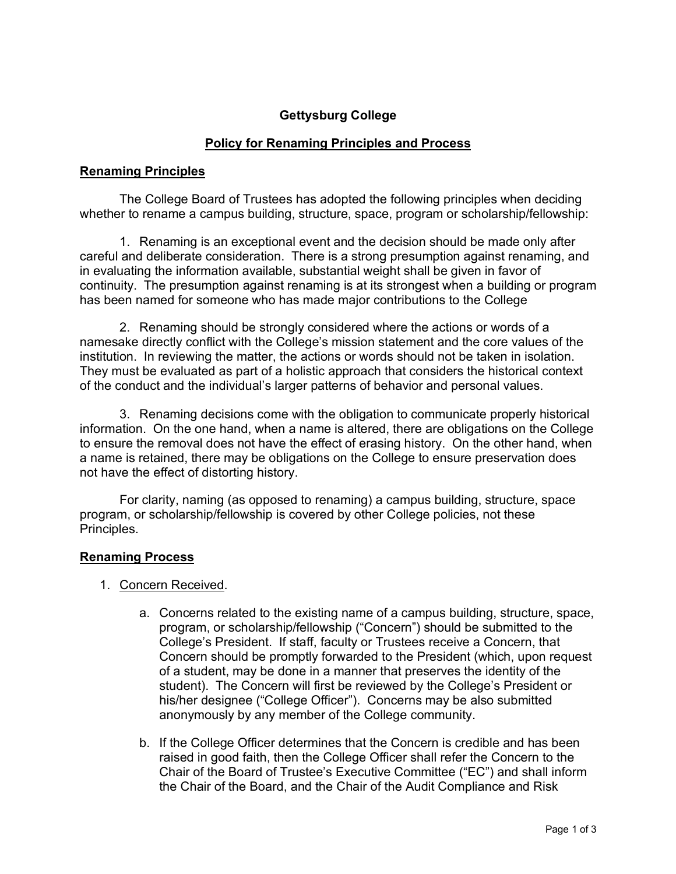# **Gettysburg College**

## **Policy for Renaming Principles and Process**

### **Renaming Principles**

The College Board of Trustees has adopted the following principles when deciding whether to rename a campus building, structure, space, program or scholarship/fellowship:

1. Renaming is an exceptional event and the decision should be made only after careful and deliberate consideration. There is a strong presumption against renaming, and in evaluating the information available, substantial weight shall be given in favor of continuity. The presumption against renaming is at its strongest when a building or program has been named for someone who has made major contributions to the College

2. Renaming should be strongly considered where the actions or words of a namesake directly conflict with the College's mission statement and the core values of the institution. In reviewing the matter, the actions or words should not be taken in isolation. They must be evaluated as part of a holistic approach that considers the historical context of the conduct and the individual's larger patterns of behavior and personal values.

3. Renaming decisions come with the obligation to communicate properly historical information. On the one hand, when a name is altered, there are obligations on the College to ensure the removal does not have the effect of erasing history. On the other hand, when a name is retained, there may be obligations on the College to ensure preservation does not have the effect of distorting history.

For clarity, naming (as opposed to renaming) a campus building, structure, space program, or scholarship/fellowship is covered by other College policies, not these Principles.

### **Renaming Process**

- 1. Concern Received.
	- a. Concerns related to the existing name of a campus building, structure, space, program, or scholarship/fellowship ("Concern") should be submitted to the College's President. If staff, faculty or Trustees receive a Concern, that Concern should be promptly forwarded to the President (which, upon request of a student, may be done in a manner that preserves the identity of the student). The Concern will first be reviewed by the College's President or his/her designee ("College Officer"). Concerns may be also submitted anonymously by any member of the College community.
	- b. If the College Officer determines that the Concern is credible and has been raised in good faith, then the College Officer shall refer the Concern to the Chair of the Board of Trustee's Executive Committee ("EC") and shall inform the Chair of the Board, and the Chair of the Audit Compliance and Risk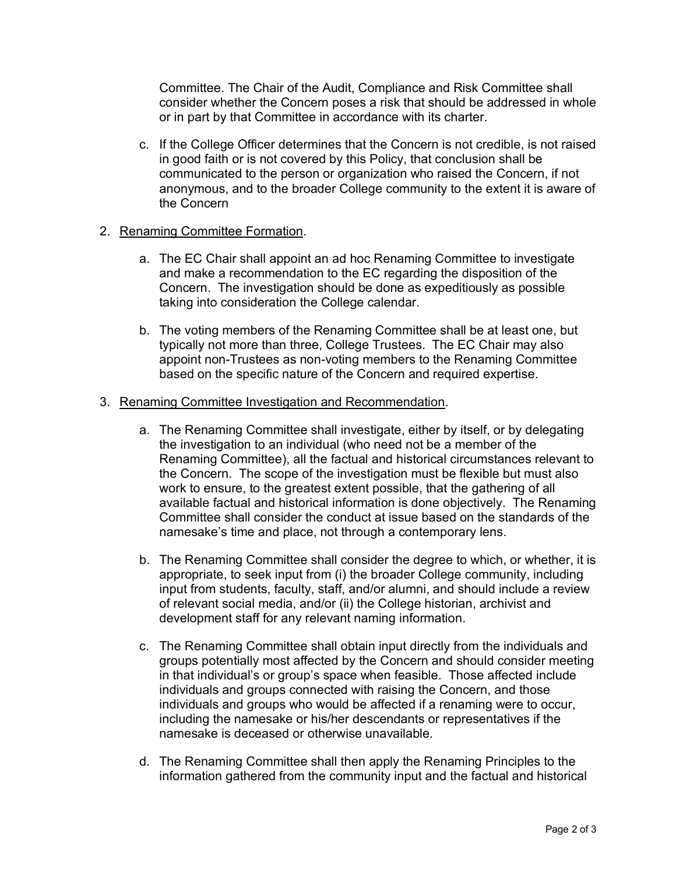Committee. The Chair of the Audit, Compliance and Risk Committee shall consider whether the Concern poses a risk that should be addressed in whole or in part by that Committee in accordance with its charter.

c. If the College Officer determines that the Concern is not credible, is not raised in good faith or is not covered by this Policy, that conclusion shall be communicated to the person or organization who raised the Concern, if not anonymous, and to the broader College community to the extent it is aware of the Concern

### 2. Renaming Committee Formation.

- a. The EC Chair shall appoint an ad hoc Renaming Committee to investigate and make a recommendation to the EC regarding the disposition of the Concern. The investigation should be done as expeditiously as possible taking into consideration the College calendar.
- b. The voting members of the Renaming Committee shall be at least one, but typically not more than three, College Trustees. The EC Chair may also appoint non-Trustees as non-voting members to the Renaming Committee based on the specific nature of the Concern and required expertise.

#### 3. Renaming Committee Investigation and Recommendation.

- a. The Renaming Committee shall investigate, either by itself, or by delegating the investigation to an individual (who need not be a member of the Renaming Committee), all the factual and historical circumstances relevant to the Concern. The scope of the investigation must be flexible but must also work to ensure, to the greatest extent possible, that the gathering of all available factual and historical information is done objectively. The Renaming Committee shall consider the conduct at issue based on the standards of the namesake's time and place, not through a contemporary lens.
- b. The Renaming Committee shall consider the degree to which, or whether, it is appropriate, to seek input from (i) the broader College community, including input from students, faculty, staff, and/or alumni, and should include a review of relevant social media, and/or (ii) the College historian, archivist and development staff for any relevant naming information.
- c. The Renaming Committee shall obtain input directly from the individuals and groups potentially most affected by the Concern and should consider meeting in that individual's or group's space when feasible. Those affected include individuals and groups connected with raising the Concern, and those individuals and groups who would be affected if a renaming were to occur, including the namesake or his/her descendants or representatives if the namesake is deceased or otherwise unavailable.
- d. The Renaming Committee shall then apply the Renaming Principles to the information gathered from the community input and the factual and historical